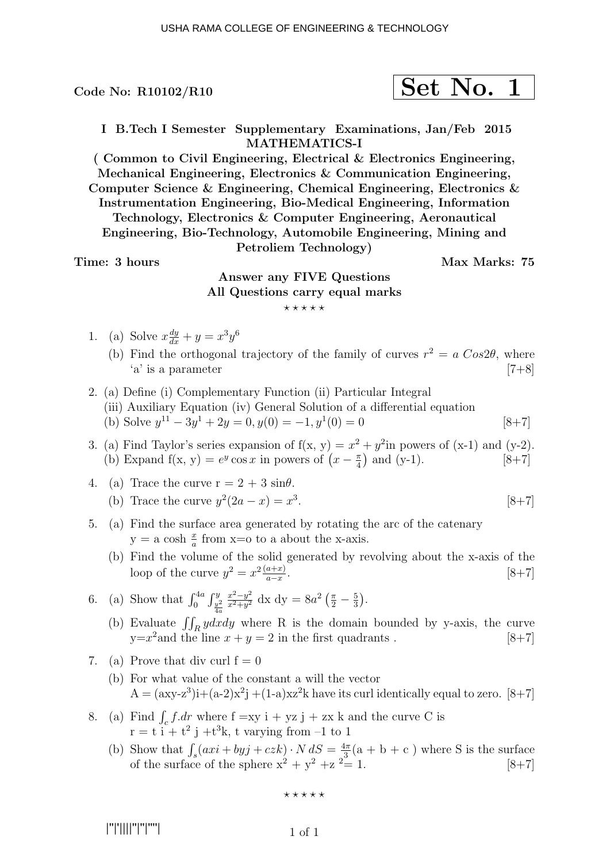$$
\fbox{Set No. 1}
$$

I B.Tech I Semester Supplementary Examinations, Jan/Feb 2015 MATHEMATICS-I

( Common to Civil Engineering, Electrical & Electronics Engineering, Mechanical Engineering, Electronics & Communication Engineering, Computer Science & Engineering, Chemical Engineering, Electronics & Instrumentation Engineering, Bio-Medical Engineering, Information Technology, Electronics & Computer Engineering, Aeronautical Engineering, Bio-Technology, Automobile Engineering, Mining and Petroliem Technology)

Time: 3 hours Max Marks: 75

### Answer any FIVE Questions All Questions carry equal marks ⋆ ⋆ ⋆ ⋆ ⋆

- 1. (a) Solve  $x \frac{dy}{dx} + y = x^3 y^6$ 
	- (b) Find the orthogonal trajectory of the family of curves  $r^2 = a \, Cos2\theta$ , where  $a'$  is a parameter [7+8]
- 2. (a) Define (i) Complementary Function (ii) Particular Integral (iii) Auxiliary Equation (iv) General Solution of a differential equation (b) Solve  $y^{11} - 3y^1 + 2y = 0, y(0) = -1, y^1(0) = 0$  [8+7]
- 3. (a) Find Taylor's series expansion of  $f(x, y) = x^2 + y^2$  in powers of  $(x-1)$  and  $(y-2)$ . (b) Expand  $f(x, y) = e^y \cos x$  in powers of  $\left(x - \frac{\pi}{4}\right)$  $\frac{\pi}{4}$  and (y-1). [8+7]
- 4. (a) Trace the curve  $r = 2 + 3 \sin \theta$ . (b) Trace the curve  $y^2(2a - x) = x^3$  $[8+7]$
- 5. (a) Find the surface area generated by rotating the arc of the catenary  $y = a \cosh \frac{x}{a}$  from x=0 to a about the x-axis.
	- (b) Find the volume of the solid generated by revolving about the x-axis of the loop of the curve  $y^2 = x^2 \frac{(a+x)}{a-x}$ a−x .  $[8+7]$
- 6. (a) Show that  $\int_0^{4a} \int_{\frac{y^2}{4a}}^{y}$  $x^2-y^2$  $\frac{x^2-y^2}{x^2+y^2}$  dx dy =  $8a^2\left(\frac{\pi}{2}-\frac{5}{3}\right)$  $\frac{5}{3}$ .
	- (b) Evaluate  $\iint_R ydxdy$  where R is the domain bounded by y-axis, the curve  $y=x^2$  and the line  $x+y=2$  in the first quadrants . [8+7]
- 7. (a) Prove that div curl  $f = 0$ 
	- (b) For what value of the constant a will the vector  $A = (axy-z^3)i+(a-2)x^2j+(1-a)xz^2k$  have its curl identically equal to zero. [8+7]
- 8. (a) Find  $\int_c f dr$  where  $f = xy$  i + yz j + zx k and the curve C is  $r = t i + t^2 j + t^3 k$ , t varying from  $-1$  to 1
	- (b) Show that  $\int_s (axi + byj + czk) \cdot N dS = \frac{4\pi}{3}$  $\frac{4\pi}{3}$ (a + b + c) where S is the surface of the surface of the sphere  $x^2 + y^2 + z^2 = 1$ . [8+7]

 $***$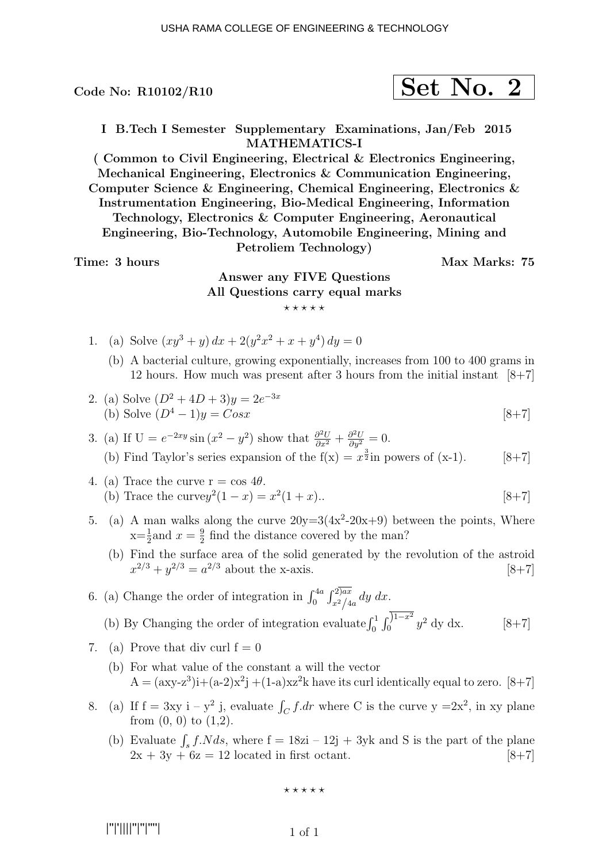$$
\fbox{Set No. 2}
$$

I B.Tech I Semester Supplementary Examinations, Jan/Feb 2015 MATHEMATICS-I

( Common to Civil Engineering, Electrical & Electronics Engineering, Mechanical Engineering, Electronics & Communication Engineering, Computer Science & Engineering, Chemical Engineering, Electronics & Instrumentation Engineering, Bio-Medical Engineering, Information Technology, Electronics & Computer Engineering, Aeronautical Engineering, Bio-Technology, Automobile Engineering, Mining and Petroliem Technology)

#### Time: 3 hours Max Marks: 75

## Answer any FIVE Questions All Questions carry equal marks  $***$ \*\*

- 1. (a) Solve  $(xy^3 + y) dx + 2(y^2x^2 + x + y^4) dy = 0$ 
	- (b) A bacterial culture, growing exponentially, increases from 100 to 400 grams in 12 hours. How much was present after 3 hours from the initial instant  $[8+7]$

2. (a) Solve 
$$
(D^2 + 4D + 3)y = 2e^{-3x}
$$
  
\n(b) Solve  $(D^4 - 1)y = Cosx$  [8+7]

- 3. (a) If  $U = e^{-2xy} \sin(x^2 y^2)$  show that  $\frac{\partial^2 U}{\partial x^2} + \frac{\partial^2 U}{\partial y^2} = 0$ . (b) Find Taylor's series expansion of the  $f(x) = x^{\frac{3}{2}}$  in powers of  $(x-1)$ . [8+7]
- 4. (a) Trace the curve  $r = \cos 4\theta$ . (b) Trace the curvey<sup>2</sup> $(1 - x) = x^2(1 + x)$ .. [8+7]
- 5. (a) A man walks along the curve  $20y=3(4x^2-20x+9)$  between the points, Where  $x=\frac{1}{2}$  and  $x=\frac{9}{2}$  $\frac{9}{2}$  find the distance covered by the man?
	- (b) Find the surface area of the solid generated by the revolution of the astroid  $x^{2/3} + y^{2/3} = a^{2/3}$  about the x-axis. [8+7]

6. (a) Change the order of integration in  $\int_0^{4a} \int_{x^2/4a}^{2)ax} dy dx$ . (b) By Changing the order of integration evaluate  $\int_0^1 \int_0^{1-x^2} y^2 \,dy \,dx.$  [8+7]

- 7. (a) Prove that div curl  $f = 0$ 
	- (b) For what value of the constant a will the vector  $A = (axy-z^3)i+(a-2)x^2j+(1-a)xz^2k$  have its curl identically equal to zero. [8+7]
- 8. (a) If  $f = 3xy$  i  $y^2$  j, evaluate  $\int_C f dr$  where C is the curve  $y = 2x^2$ , in xy plane from  $(0, 0)$  to  $(1,2)$ .
	- (b) Evaluate  $\int_s f.N ds$ , where  $f = 18zi 12j + 3yk$  and S is the part of the plane  $2x + 3y + 6z = 12$  located in first octant. [8+7]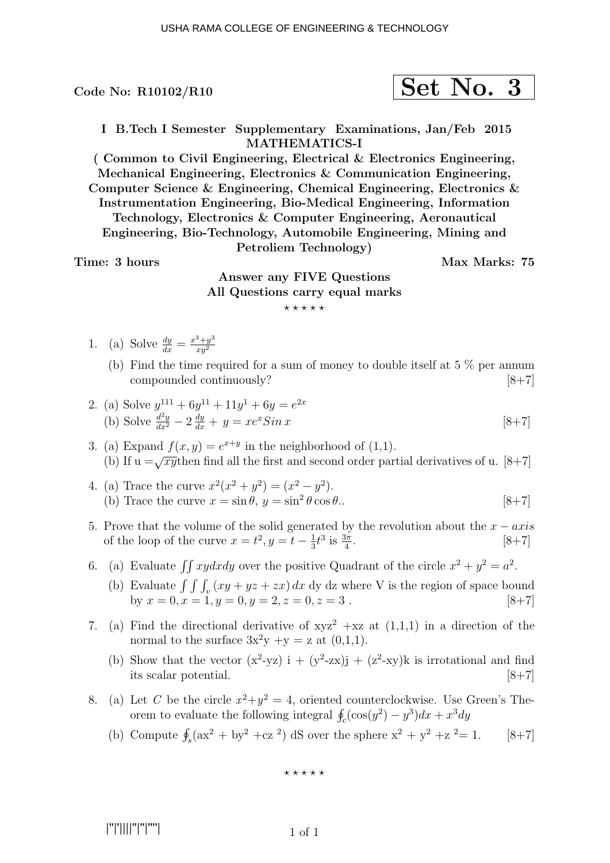$$
\fbox{Set No. 3}
$$

I B.Tech I Semester Supplementary Examinations, Jan/Feb 2015 MATHEMATICS-I

( Common to Civil Engineering, Electrical & Electronics Engineering, Mechanical Engineering, Electronics & Communication Engineering, Computer Science & Engineering, Chemical Engineering, Electronics & Instrumentation Engineering, Bio-Medical Engineering, Information Technology, Electronics & Computer Engineering, Aeronautical Engineering, Bio-Technology, Automobile Engineering, Mining and Petroliem Technology)

Time: 3 hours Max Marks: 75

# Answer any FIVE Questions All Questions carry equal marks  $***$ \*\*

- 1. (a) Solve  $\frac{dy}{dx} = \frac{x^3 + y^3}{xy^2}$  $xy^2$ 
	- (b) Find the time required for a sum of money to double itself at  $5\%$  per annum compounded continuously? [8+7]

2. (a) Solve 
$$
y^{111} + 6y^{11} + 11y^1 + 6y = e^{2x}
$$
  
\n(b) Solve  $\frac{d^2y}{dx^2} - 2\frac{dy}{dx} + y = xe^x Sin x$  [8+7]

- 3. (a) Expand  $f(x, y) = e^{x+y}$  in the neighborhood of (1,1). (b) If  $u = \sqrt{xy}$  then find all the first and second order partial derivatives of u. [8+7]
- 4. (a) Trace the curve  $x^2(x^2 + y^2) = (x^2 y^2)$ . (b) Trace the curve  $x = \sin \theta$ ,  $y = \sin^2 \theta \cos \theta$ . [8+7]
- 5. Prove that the volume of the solid generated by the revolution about the  $x axis$ of the loop of the curve  $x = t^2, y = t - \frac{1}{3}$  $\frac{1}{3}t^3$  is  $\frac{3\pi}{4}$  $[8+7]$
- 6. (a) Evaluate  $\iint xydxdy$  over the positive Quadrant of the circle  $x^2 + y^2 = a^2$ .
	- (b) Evaluate  $\int \int \int_{v} (xy + yz + zx) dx$  dy dz where V is the region of space bound by  $x = 0, x = 1, y = 0, y = 2, z = 0, z = 3$ . [8+7]
- 7. (a) Find the directional derivative of  $xyz^2 + xz$  at  $(1,1,1)$  in a direction of the normal to the surface  $3x^2y +y = z$  at  $(0,1,1)$ .
	- (b) Show that the vector  $(x^2-yz)$  i +  $(y^2-zx)j + (z^2-xy)k$  is irrotational and find its scalar potential.  $|8+7|$
- 8. (a) Let C be the circle  $x^2 + y^2 = 4$ , oriented counterclockwise. Use Green's Theorem to evaluate the following integral  $\oint_c (\cos(y^2) - y^3) dx + x^3 dy$ 
	- (b) Compute  $\oint_s (ax^2 + by^2 + cz^2) dS$  over the sphere  $x^2 + y^2 + z^2 = 1$ . [8+7]

 $***$ \*\*